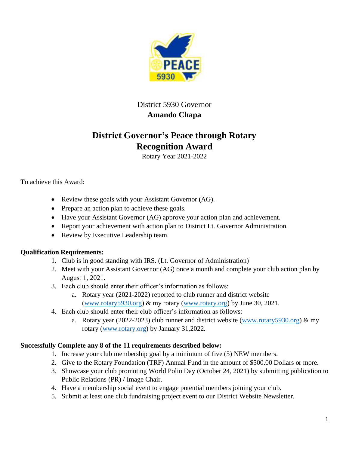

## District 5930 Governor **Amando Chapa**

## **District Governor's Peace through Rotary Recognition Award**

Rotary Year 2021-2022

To achieve this Award:

- Review these goals with your Assistant Governor (AG).
- Prepare an action plan to achieve these goals.
- Have your Assistant Governor (AG) approve your action plan and achievement.
- Report your achievement with action plan to District Lt. Governor Administration.
- Review by Executive Leadership team.

## **Qualification Requirements:**

- 1. Club is in good standing with IRS. (Lt. Governor of Administration)
- 2. Meet with your Assistant Governor (AG) once a month and complete your club action plan by August 1, 2021.
- 3. Each club should enter their officer's information as follows:
	- a. Rotary year (2021-2022) reported to club runner and district website [\(www.rotary5930.org\)](http://www.rotary5930.org/) & my rotary [\(www.rotary.org\)](http://www.rotary.org/) by June 30, 2021.
- 4. Each club should enter their club officer's information as follows:
	- a. Rotary year (2022-2023) club runner and district website [\(www.rotary5930.org\)](http://www.rotary5930.org/)  $\&$  my rotary [\(www.rotary.org\)](http://www.rotary.org/) by January 31,2022.

## **Successfully Complete any 8 of the 11 requirements described below:**

- 1. Increase your club membership goal by a minimum of five (5) NEW members.
- 2. Give to the Rotary Foundation (TRF) Annual Fund in the amount of \$500.00 Dollars or more.
- 3. Showcase your club promoting World Polio Day (October 24, 2021) by submitting publication to Public Relations (PR) / Image Chair.
- 4. Have a membership social event to engage potential members joining your club.
- 5. Submit at least one club fundraising project event to our District Website Newsletter.